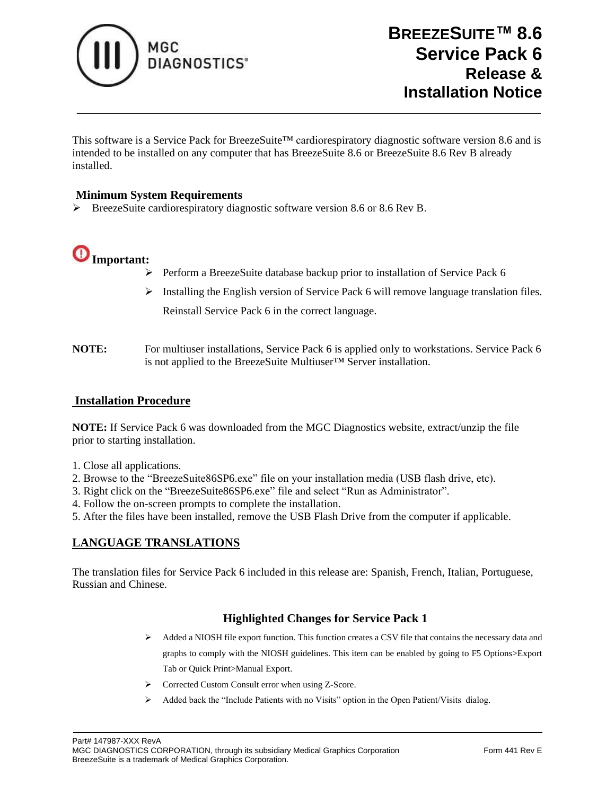

This software is a Service Pack for BreezeSuite™ cardiorespiratory diagnostic software version 8.6 and is intended to be installed on any computer that has BreezeSuite 8.6 or BreezeSuite 8.6 Rev B already installed.

## **Minimum System Requirements**

➢ BreezeSuite cardiorespiratory diagnostic software version 8.6 or 8.6 Rev B.



- ➢ Perform a BreezeSuite database backup prior to installation of Service Pack 6
- ➢ Installing the English version of Service Pack 6 will remove language translation files. Reinstall Service Pack 6 in the correct language.
- **NOTE:** For multiuser installations, Service Pack 6 is applied only to workstations. Service Pack 6 is not applied to the BreezeSuite Multiuser™ Server installation.

### **Installation Procedure**

**NOTE:** If Service Pack 6 was downloaded from the MGC Diagnostics website, extract/unzip the file prior to starting installation.

- 1. Close all applications.
- 2. Browse to the "BreezeSuite86SP6.exe" file on your installation media (USB flash drive, etc).
- 3. Right click on the "BreezeSuite86SP6.exe" file and select "Run as Administrator".
- 4. Follow the on-screen prompts to complete the installation.

5. After the files have been installed, remove the USB Flash Drive from the computer if applicable.

## **LANGUAGE TRANSLATIONS**

The translation files for Service Pack 6 included in this release are: Spanish, French, Italian, Portuguese, Russian and Chinese.

- ➢ Added a NIOSH file export function. This function creates a CSV file that contains the necessary data and graphs to comply with the NIOSH guidelines. This item can be enabled by going to F5 Options>Export Tab or Quick Print>Manual Export.
- ➢ Corrected Custom Consult error when using Z-Score.
- ➢ Added back the "Include Patients with no Visits" option in the Open Patient/Visits dialog.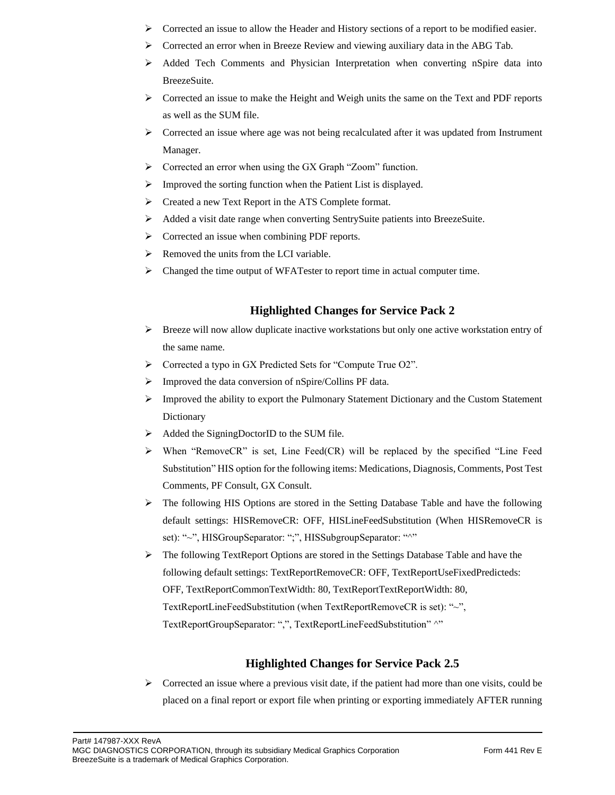- $\triangleright$  Corrected an issue to allow the Header and History sections of a report to be modified easier.
- $\triangleright$  Corrected an error when in Breeze Review and viewing auxiliary data in the ABG Tab.
- ➢ Added Tech Comments and Physician Interpretation when converting nSpire data into BreezeSuite.
- $\triangleright$  Corrected an issue to make the Height and Weigh units the same on the Text and PDF reports as well as the SUM file.
- $\triangleright$  Corrected an issue where age was not being recalculated after it was updated from Instrument Manager.
- ➢ Corrected an error when using the GX Graph "Zoom" function.
- ➢ Improved the sorting function when the Patient List is displayed.
- ➢ Created a new Text Report in the ATS Complete format.
- ➢ Added a visit date range when converting SentrySuite patients into BreezeSuite.
- ➢ Corrected an issue when combining PDF reports.
- $\triangleright$  Removed the units from the LCI variable.
- $\triangleright$  Changed the time output of WFATester to report time in actual computer time.

### **Highlighted Changes for Service Pack 2**

- ➢ Breeze will now allow duplicate inactive workstations but only one active workstation entry of the same name.
- ➢ Corrected a typo in GX Predicted Sets for "Compute True O2".
- ➢ Improved the data conversion of nSpire/Collins PF data.
- $\triangleright$  Improved the ability to export the Pulmonary Statement Dictionary and the Custom Statement Dictionary
- ➢ Added the SigningDoctorID to the SUM file.
- ➢ When "RemoveCR" is set, Line Feed(CR) will be replaced by the specified "Line Feed Substitution" HIS option for the following items: Medications, Diagnosis, Comments, Post Test Comments, PF Consult, GX Consult.
- ➢ The following HIS Options are stored in the Setting Database Table and have the following default settings: HISRemoveCR: OFF, HISLineFeedSubstitution (When HISRemoveCR is set): "~", HISGroupSeparator: ";", HISSubgroupSeparator: "^"
- ➢ The following TextReport Options are stored in the Settings Database Table and have the following default settings: TextReportRemoveCR: OFF, TextReportUseFixedPredicteds: OFF, TextReportCommonTextWidth: 80, TextReportTextReportWidth: 80, TextReportLineFeedSubstitution (when TextReportRemoveCR is set): "~", TextReportGroupSeparator: ",", TextReportLineFeedSubstitution" ^"

### **Highlighted Changes for Service Pack 2.5**

 $\triangleright$  Corrected an issue where a previous visit date, if the patient had more than one visits, could be placed on a final report or export file when printing or exporting immediately AFTER running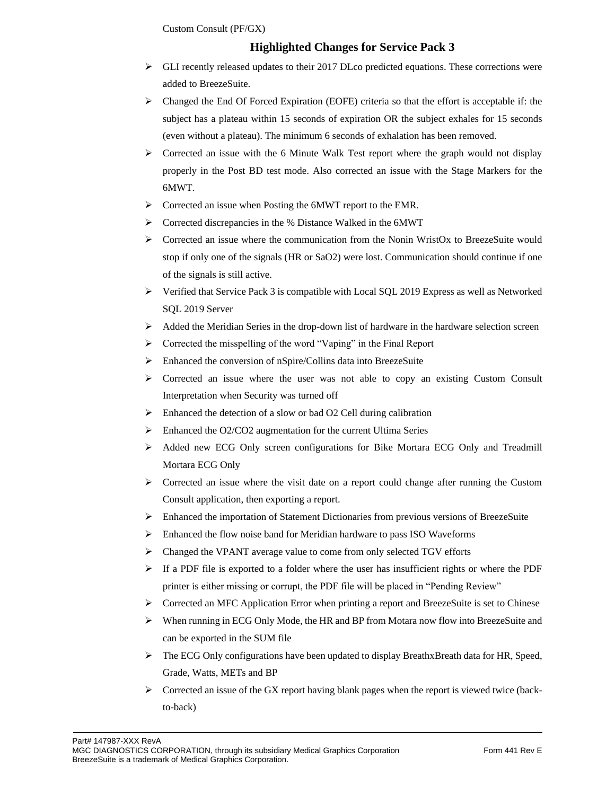Custom Consult (PF/GX)

- $\triangleright$  GLI recently released updates to their 2017 DLco predicted equations. These corrections were added to BreezeSuite.
- $\triangleright$  Changed the End Of Forced Expiration (EOFE) criteria so that the effort is acceptable if: the subject has a plateau within 15 seconds of expiration OR the subject exhales for 15 seconds (even without a plateau). The minimum 6 seconds of exhalation has been removed.
- $\triangleright$  Corrected an issue with the 6 Minute Walk Test report where the graph would not display properly in the Post BD test mode. Also corrected an issue with the Stage Markers for the 6MWT.
- ➢ Corrected an issue when Posting the 6MWT report to the EMR.
- ➢ Corrected discrepancies in the % Distance Walked in the 6MWT
- $\triangleright$  Corrected an issue where the communication from the Nonin WristOx to BreezeSuite would stop if only one of the signals (HR or SaO2) were lost. Communication should continue if one of the signals is still active.
- $\triangleright$  Verified that Service Pack 3 is compatible with Local SQL 2019 Express as well as Networked SQL 2019 Server
- $\triangleright$  Added the Meridian Series in the drop-down list of hardware in the hardware selection screen
- ➢ Corrected the misspelling of the word "Vaping" in the Final Report
- ➢ Enhanced the conversion of nSpire/Collins data into BreezeSuite
- $\triangleright$  Corrected an issue where the user was not able to copy an existing Custom Consult Interpretation when Security was turned off
- $\triangleright$  Enhanced the detection of a slow or bad O2 Cell during calibration
- ➢ Enhanced the O2/CO2 augmentation for the current Ultima Series
- ➢ Added new ECG Only screen configurations for Bike Mortara ECG Only and Treadmill Mortara ECG Only
- $\triangleright$  Corrected an issue where the visit date on a report could change after running the Custom Consult application, then exporting a report.
- ➢ Enhanced the importation of Statement Dictionaries from previous versions of BreezeSuite
- ➢ Enhanced the flow noise band for Meridian hardware to pass ISO Waveforms
- ➢ Changed the VPANT average value to come from only selected TGV efforts
- $\triangleright$  If a PDF file is exported to a folder where the user has insufficient rights or where the PDF printer is either missing or corrupt, the PDF file will be placed in "Pending Review"
- $\triangleright$  Corrected an MFC Application Error when printing a report and BreezeSuite is set to Chinese
- ➢ When running in ECG Only Mode, the HR and BP from Motara now flow into BreezeSuite and can be exported in the SUM file
- ➢ The ECG Only configurations have been updated to display BreathxBreath data for HR, Speed, Grade, Watts, METs and BP
- $\triangleright$  Corrected an issue of the GX report having blank pages when the report is viewed twice (backto-back)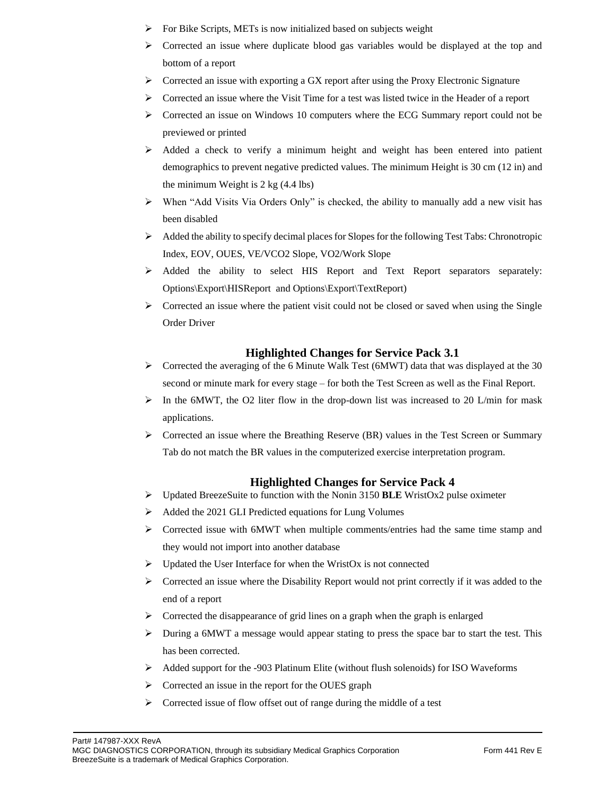- $\triangleright$  For Bike Scripts, METs is now initialized based on subjects weight
- $\triangleright$  Corrected an issue where duplicate blood gas variables would be displayed at the top and bottom of a report
- ➢ Corrected an issue with exporting a GX report after using the Proxy Electronic Signature
- ➢ Corrected an issue where the Visit Time for a test was listed twice in the Header of a report
- $\triangleright$  Corrected an issue on Windows 10 computers where the ECG Summary report could not be previewed or printed
- $\triangleright$  Added a check to verify a minimum height and weight has been entered into patient demographics to prevent negative predicted values. The minimum Height is 30 cm (12 in) and the minimum Weight is 2 kg (4.4 lbs)
- ➢ When "Add Visits Via Orders Only" is checked, the ability to manually add a new visit has been disabled
- $\triangleright$  Added the ability to specify decimal places for Slopes for the following Test Tabs: Chronotropic Index, EOV, OUES, VE/VCO2 Slope, VO2/Work Slope
- ➢ Added the ability to select HIS Report and Text Report separators separately: Options\Export\HISReport and Options\Export\TextReport)
- ➢ Corrected an issue where the patient visit could not be closed or saved when using the Single Order Driver

### **Highlighted Changes for Service Pack 3.1**

- $\triangleright$  Corrected the averaging of the 6 Minute Walk Test (6MWT) data that was displayed at the 30 second or minute mark for every stage – for both the Test Screen as well as the Final Report.
- $\triangleright$  In the 6MWT, the O2 liter flow in the drop-down list was increased to 20 L/min for mask applications.
- ➢ Corrected an issue where the Breathing Reserve (BR) values in the Test Screen or Summary Tab do not match the BR values in the computerized exercise interpretation program.

- ➢ Updated BreezeSuite to function with the Nonin 3150 **BLE** WristOx2 pulse oximeter
- ➢ Added the 2021 GLI Predicted equations for Lung Volumes
- $\triangleright$  Corrected issue with 6MWT when multiple comments/entries had the same time stamp and they would not import into another database
- $\triangleright$  Updated the User Interface for when the WristOx is not connected
- $\triangleright$  Corrected an issue where the Disability Report would not print correctly if it was added to the end of a report
- $\triangleright$  Corrected the disappearance of grid lines on a graph when the graph is enlarged
- ➢ During a 6MWT a message would appear stating to press the space bar to start the test. This has been corrected.
- ➢ Added support for the -903 Platinum Elite (without flush solenoids) for ISO Waveforms
- ➢ Corrected an issue in the report for the OUES graph
- ➢ Corrected issue of flow offset out of range during the middle of a test